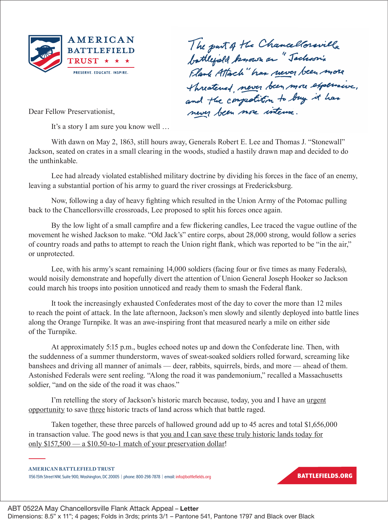

The part of the Chancellorsville<br>battlefield known on "Tachson's<br>Flank Attach" has never been more Threatened, never been more expensive,

Dear Fellow Preservationist,

It's a story I am sure you know well …

With dawn on May 2, 1863, still hours away, Generals Robert E. Lee and Thomas J. "Stonewall" Jackson, seated on crates in a small clearing in the woods, studied a hastily drawn map and decided to do the unthinkable.

Lee had already violated established military doctrine by dividing his forces in the face of an enemy, leaving a substantial portion of his army to guard the river crossings at Fredericksburg.

Now, following a day of heavy fighting which resulted in the Union Army of the Potomac pulling back to the Chancellorsville crossroads, Lee proposed to split his forces once again.

By the low light of a small campfire and a few flickering candles, Lee traced the vague outline of the movement he wished Jackson to make. "Old Jack's" entire corps, about 28,000 strong, would follow a series of country roads and paths to attempt to reach the Union right flank, which was reported to be "in the air," or unprotected.

Lee, with his army's scant remaining 14,000 soldiers (facing four or five times as many Federals), would noisily demonstrate and hopefully divert the attention of Union General Joseph Hooker so Jackson could march his troops into position unnoticed and ready them to smash the Federal flank.

It took the increasingly exhausted Confederates most of the day to cover the more than 12 miles to reach the point of attack. In the late afternoon, Jackson's men slowly and silently deployed into battle lines along the Orange Turnpike. It was an awe-inspiring front that measured nearly a mile on either side of the Turnpike.

At approximately 5:15 p.m., bugles echoed notes up and down the Confederate line. Then, with the suddenness of a summer thunderstorm, waves of sweat-soaked soldiers rolled forward, screaming like banshees and driving all manner of animals — deer, rabbits, squirrels, birds, and more — ahead of them. Astonished Federals were sent reeling. "Along the road it was pandemonium," recalled a Massachusetts soldier, "and on the side of the road it was chaos."

I'm retelling the story of Jackson's historic march because, today, you and I have an urgent opportunity to save three historic tracts of land across which that battle raged.

Taken together, these three parcels of hallowed ground add up to 45 acres and total \$1,656,000 in transaction value. The good news is that you and I can save these truly historic lands today for only \$157,500 — a \$10.50-to-1 match of your preservation dollar!

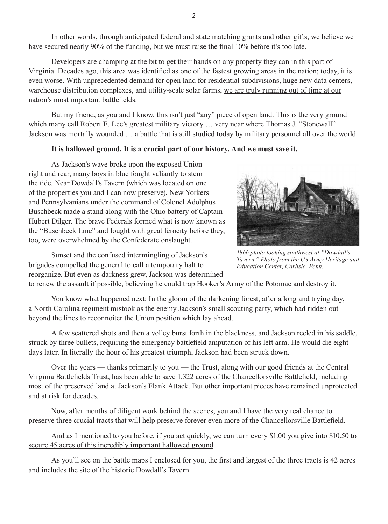In other words, through anticipated federal and state matching grants and other gifts, we believe we have secured nearly 90% of the funding, but we must raise the final 10% before it's too late.

Developers are champing at the bit to get their hands on any property they can in this part of Virginia. Decades ago, this area was identified as one of the fastest growing areas in the nation; today, it is even worse. With unprecedented demand for open land for residential subdivisions, huge new data centers, warehouse distribution complexes, and utility-scale solar farms, we are truly running out of time at our nation's most important battlefields.

But my friend, as you and I know, this isn't just "any" piece of open land. This is the very ground which many call Robert E. Lee's greatest military victory ... very near where Thomas J. "Stonewall" Jackson was mortally wounded … a battle that is still studied today by military personnel all over the world.

## **It is hallowed ground. It is a crucial part of our history. And we must save it.**

As Jackson's wave broke upon the exposed Union right and rear, many boys in blue fought valiantly to stem the tide. Near Dowdall's Tavern (which was located on one of the properties you and I can now preserve), New Yorkers and Pennsylvanians under the command of Colonel Adolphus Buschbeck made a stand along with the Ohio battery of Captain Hubert Dilger. The brave Federals formed what is now known as the "Buschbeck Line" and fought with great ferocity before they, too, were overwhelmed by the Confederate onslaught.

Sunset and the confused intermingling of Jackson's brigades compelled the general to call a temporary halt to reorganize. But even as darkness grew, Jackson was determined



*1866 photo looking southwest at "Dowdall's Tavern." Photo from the US Army Heritage and Education Center, Carlisle, Penn.*

to renew the assault if possible, believing he could trap Hooker's Army of the Potomac and destroy it.

You know what happened next: In the gloom of the darkening forest, after a long and trying day, a North Carolina regiment mistook as the enemy Jackson's small scouting party, which had ridden out beyond the lines to reconnoiter the Union position which lay ahead.

A few scattered shots and then a volley burst forth in the blackness, and Jackson reeled in his saddle, struck by three bullets, requiring the emergency battlefield amputation of his left arm. He would die eight days later. In literally the hour of his greatest triumph, Jackson had been struck down.

Over the years — thanks primarily to you — the Trust, along with our good friends at the Central Virginia Battlefields Trust, has been able to save 1,322 acres of the Chancellorsville Battlefield, including most of the preserved land at Jackson's Flank Attack. But other important pieces have remained unprotected and at risk for decades.

Now, after months of diligent work behind the scenes, you and I have the very real chance to preserve three crucial tracts that will help preserve forever even more of the Chancellorsville Battlefield.

And as I mentioned to you before, if you act quickly, we can turn every \$1.00 you give into \$10.50 to secure 45 acres of this incredibly important hallowed ground.

As you'll see on the battle maps I enclosed for you, the first and largest of the three tracts is 42 acres and includes the site of the historic Dowdall's Tavern.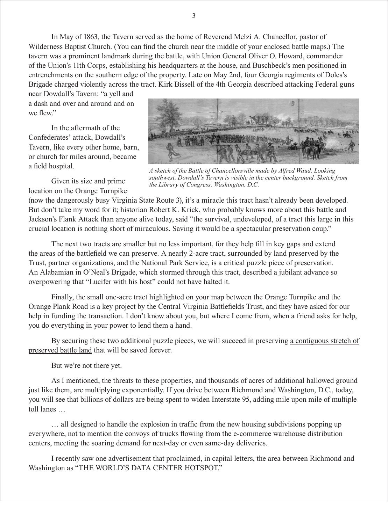near Dowdall's Tavern: "a yell and a dash and over and around and on we flew"

In the aftermath of the Confederates' attack, Dowdall's Tavern, like every other home, barn, or church for miles around, became a field hospital.

Given its size and prime location on the Orange Turnpike



*A sketch of the Battle of Chancellorsville made by Alfred Waud. Looking southwest, Dowdall's Tavern is visible in the center background. Sketch from the Library of Congress, Washington, D.C.* 

(now the dangerously busy Virginia State Route 3), it's a miracle this tract hasn't already been developed. But don't take my word for it; historian Robert K. Krick, who probably knows more about this battle and Jackson's Flank Attack than anyone alive today, said "the survival, undeveloped, of a tract this large in this crucial location is nothing short of miraculous. Saving it would be a spectacular preservation coup."

The next two tracts are smaller but no less important, for they help fill in key gaps and extend the areas of the battlefield we can preserve. A nearly 2-acre tract, surrounded by land preserved by the Trust, partner organizations, and the National Park Service, is a critical puzzle piece of preservation. An Alabamian in O'Neal's Brigade, which stormed through this tract, described a jubilant advance so overpowering that "Lucifer with his host" could not have halted it.

Finally, the small one-acre tract highlighted on your map between the Orange Turnpike and the Orange Plank Road is a key project by the Central Virginia Battlefields Trust, and they have asked for our help in funding the transaction. I don't know about you, but where I come from, when a friend asks for help, you do everything in your power to lend them a hand.

By securing these two additional puzzle pieces, we will succeed in preserving a contiguous stretch of preserved battle land that will be saved forever.

But we're not there yet.

As I mentioned, the threats to these properties, and thousands of acres of additional hallowed ground just like them, are multiplying exponentially. If you drive between Richmond and Washington, D.C., today, you will see that billions of dollars are being spent to widen Interstate 95, adding mile upon mile of multiple toll lanes …

… all designed to handle the explosion in traffic from the new housing subdivisions popping up everywhere, not to mention the convoys of trucks flowing from the e-commerce warehouse distribution centers, meeting the soaring demand for next-day or even same-day deliveries.

I recently saw one advertisement that proclaimed, in capital letters, the area between Richmond and Washington as "THE WORLD'S DATA CENTER HOTSPOT."